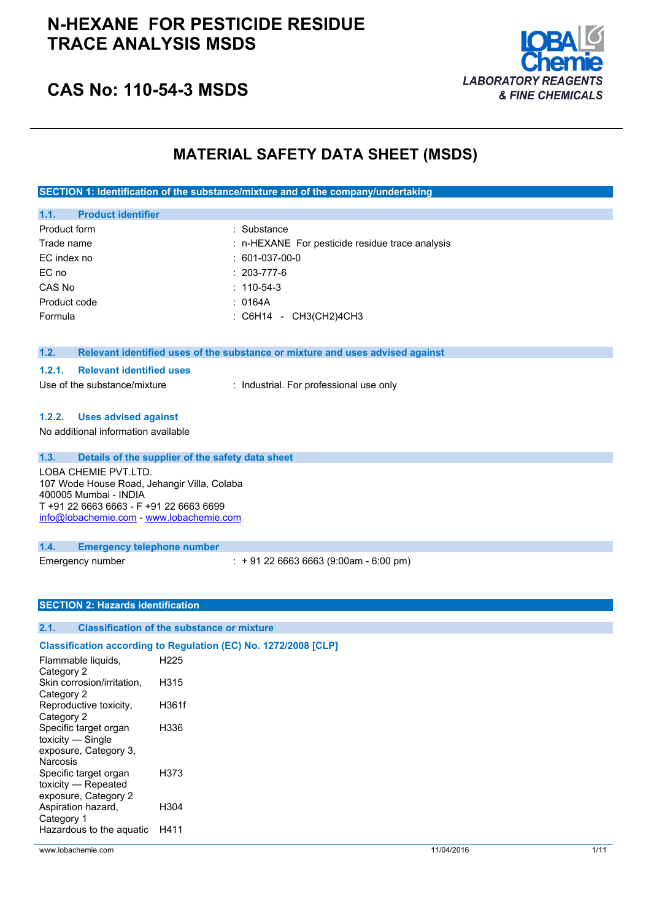## **N-HEXANE FOR PESTICIDE RESIDUE TRACE ANALYSIS MSDS**



## **CAS No: 110-54-3 MSDS**

### **MATERIAL SAFETY DATA SHEET (MSDS)**

**SECTION 1: Identification of the substance/mixture and of the company/undertaking**

| 1.1.                                    | <b>Product identifier</b>                        |                                                                               |
|-----------------------------------------|--------------------------------------------------|-------------------------------------------------------------------------------|
| Product form                            |                                                  | : Substance                                                                   |
| Trade name                              |                                                  | : n-HEXANE For pesticide residue trace analysis                               |
| EC index no                             |                                                  | $: 601-037-00-0$                                                              |
| EC no                                   |                                                  | $: 203 - 777 - 6$                                                             |
| CAS No                                  |                                                  | $: 110 - 54 - 3$                                                              |
| Product code                            |                                                  | : 0164A                                                                       |
| Formula                                 |                                                  | : C6H14 - CH3(CH2)4CH3                                                        |
|                                         |                                                  |                                                                               |
|                                         |                                                  |                                                                               |
| 1.2.                                    |                                                  | Relevant identified uses of the substance or mixture and uses advised against |
| 1.2.1.                                  | <b>Relevant identified uses</b>                  |                                                                               |
|                                         | Use of the substance/mixture                     | : Industrial. For professional use only                                       |
|                                         |                                                  |                                                                               |
|                                         | 1.2.2. Uses advised against                      |                                                                               |
|                                         | No additional information available              |                                                                               |
|                                         |                                                  |                                                                               |
| 1.3.                                    | Details of the supplier of the safety data sheet |                                                                               |
|                                         | LOBA CHEMIE PVT.LTD.                             |                                                                               |
|                                         | 107 Wode House Road, Jehangir Villa, Colaba      |                                                                               |
| 400005 Mumbai - INDIA                   |                                                  |                                                                               |
| T +91 22 6663 6663 - F +91 22 6663 6699 |                                                  |                                                                               |
|                                         | info@lobachemie.com - www.lobachemie.com         |                                                                               |
|                                         |                                                  |                                                                               |
| 1.4.                                    | <b>Emergency telephone number</b>                |                                                                               |
|                                         | Emergency number                                 | $: +912266636663(9:00am - 6:00 pm)$                                           |

#### **SECTION 2: Hazards identification**

### **2.1. Classification of the substance or mixture**

|                                                                                        | Classification according to Regulation (EC) No. 1272/2008 [CLP] |
|----------------------------------------------------------------------------------------|-----------------------------------------------------------------|
| Flammable liquids,                                                                     | H <sub>225</sub>                                                |
| Category 2<br>Skin corrosion/irritation.                                               | H315                                                            |
| Category 2                                                                             |                                                                 |
| Reproductive toxicity,<br>Category 2                                                   | H361f                                                           |
| Specific target organ<br>toxicity — Single<br>exposure, Category 3,<br><b>Narcosis</b> | H336                                                            |
| Specific target organ<br>toxicity - Repeated<br>exposure, Category 2                   | H373                                                            |
| Aspiration hazard,<br>Category 1                                                       | H304                                                            |
| Hazardous to the aguatic                                                               | H411                                                            |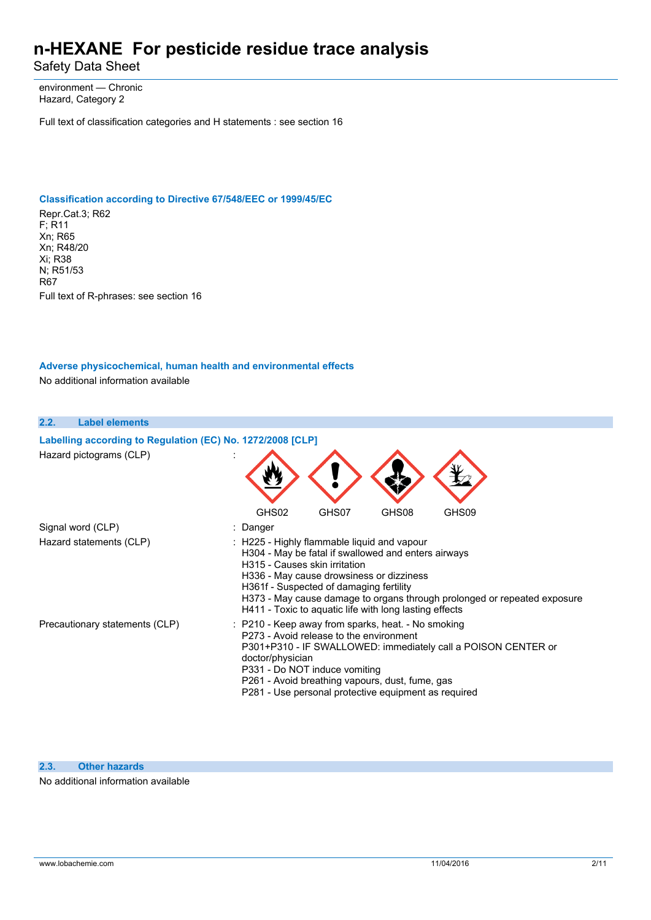Safety Data Sheet

environment — Chronic Hazard, Category 2

Full text of classification categories and H statements : see section 16

#### **Classification according to Directive 67/548/EEC or 1999/45/EC**

Repr.Cat.3; R62 F; R11 Xn; R65 Xn; R48/20 Xi; R38 N; R51/53 R67 Full text of R-phrases: see section 16

### **Adverse physicochemical, human health and environmental effects**

No additional information available

### **2.2. Label elements Labelling according to** Regulation (EC) No. 1272/2008 [CLP] Hazard pictograms (CLP) : GHS02 GHS07 GHS08 GHS09 Signal word (CLP) : Danger Hazard statements (CLP) : H225 - Highly flammable liquid and vapour H304 - May be fatal if swallowed and enters airways H315 - Causes skin irritation H336 - May cause drowsiness or dizziness H361f - Suspected of damaging fertility H373 - May cause damage to organs through prolonged or repeated exposure H411 - Toxic to aquatic life with long lasting effects Precautionary statements (CLP) : P210 - Keep away from sparks, heat. - No smoking P273 - Avoid release to the environment P301+P310 - IF SWALLOWED: immediately call a POISON CENTER or doctor/physician P331 - Do NOT induce vomiting P261 - Avoid breathing vapours, dust, fume, gas P281 - Use personal protective equipment as required

#### **2.3. Other hazards**

No additional information available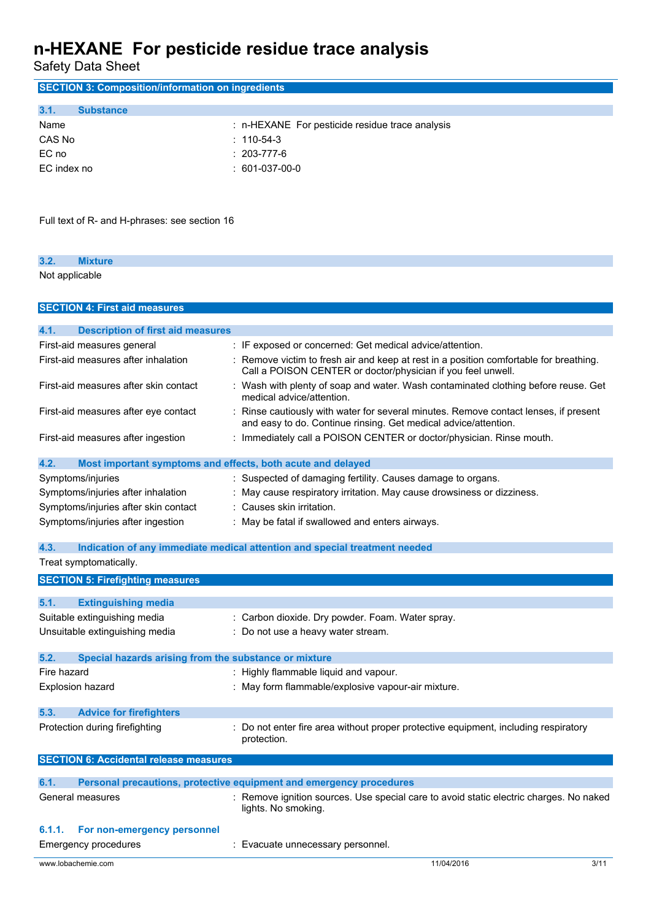| <b>SECTION 3: Composition/information on ingredients</b>            |                                                                                                                                                         |  |
|---------------------------------------------------------------------|---------------------------------------------------------------------------------------------------------------------------------------------------------|--|
| 3.1.<br><b>Substance</b>                                            |                                                                                                                                                         |  |
| Name                                                                | : n-HEXANE For pesticide residue trace analysis                                                                                                         |  |
| CAS No                                                              | $: 110 - 54 - 3$                                                                                                                                        |  |
| EC no                                                               | 203-777-6                                                                                                                                               |  |
| EC index no                                                         | $: 601-037-00-0$                                                                                                                                        |  |
|                                                                     |                                                                                                                                                         |  |
| Full text of R- and H-phrases: see section 16                       |                                                                                                                                                         |  |
| 3.2.<br><b>Mixture</b>                                              |                                                                                                                                                         |  |
| Not applicable                                                      |                                                                                                                                                         |  |
| <b>SECTION 4: First aid measures</b>                                |                                                                                                                                                         |  |
| 4.1.<br><b>Description of first aid measures</b>                    |                                                                                                                                                         |  |
| First-aid measures general                                          | : IF exposed or concerned: Get medical advice/attention.                                                                                                |  |
| First-aid measures after inhalation                                 | : Remove victim to fresh air and keep at rest in a position comfortable for breathing.<br>Call a POISON CENTER or doctor/physician if you feel unwell.  |  |
| First-aid measures after skin contact                               | : Wash with plenty of soap and water. Wash contaminated clothing before reuse. Get<br>medical advice/attention.                                         |  |
| First-aid measures after eye contact                                | : Rinse cautiously with water for several minutes. Remove contact lenses, if present<br>and easy to do. Continue rinsing. Get medical advice/attention. |  |
| First-aid measures after ingestion                                  | : Immediately call a POISON CENTER or doctor/physician. Rinse mouth.                                                                                    |  |
| 4.2.<br>Most important symptoms and effects, both acute and delayed |                                                                                                                                                         |  |
| Symptoms/injuries                                                   | : Suspected of damaging fertility. Causes damage to organs.                                                                                             |  |
| Symptoms/injuries after inhalation                                  | : May cause respiratory irritation. May cause drowsiness or dizziness.                                                                                  |  |
| Symptoms/injuries after skin contact                                | : Causes skin irritation.                                                                                                                               |  |
| Symptoms/injuries after ingestion                                   | : May be fatal if swallowed and enters airways.                                                                                                         |  |
| 4.3.                                                                | Indication of any immediate medical attention and special treatment needed                                                                              |  |
| Treat symptomatically.                                              |                                                                                                                                                         |  |
| <b>SECTION 5: Firefighting measures</b>                             |                                                                                                                                                         |  |
| 5.1.<br><b>Extinguishing media</b>                                  |                                                                                                                                                         |  |
| Suitable extinguishing media                                        | : Carbon dioxide. Dry powder. Foam. Water spray.                                                                                                        |  |
| Unsuitable extinguishing media                                      | : Do not use a heavy water stream.                                                                                                                      |  |
|                                                                     |                                                                                                                                                         |  |
| 5.2.<br>Special hazards arising from the substance or mixture       |                                                                                                                                                         |  |
| Fire hazard                                                         | : Highly flammable liquid and vapour.                                                                                                                   |  |
| Explosion hazard                                                    | : May form flammable/explosive vapour-air mixture.                                                                                                      |  |
| 5.3.<br><b>Advice for firefighters</b>                              |                                                                                                                                                         |  |
| Protection during firefighting                                      | Do not enter fire area without proper protective equipment, including respiratory<br>protection.                                                        |  |
| <b>SECTION 6: Accidental release measures</b>                       |                                                                                                                                                         |  |
| 6.1.                                                                | Personal precautions, protective equipment and emergency procedures                                                                                     |  |
| General measures                                                    | : Remove ignition sources. Use special care to avoid static electric charges. No naked<br>lights. No smoking.                                           |  |
| For non-emergency personnel<br>6.1.1.                               |                                                                                                                                                         |  |
| Emergency procedures                                                | : Evacuate unnecessary personnel.                                                                                                                       |  |
| www.lobachemie.com                                                  | 11/04/2016<br>3/11                                                                                                                                      |  |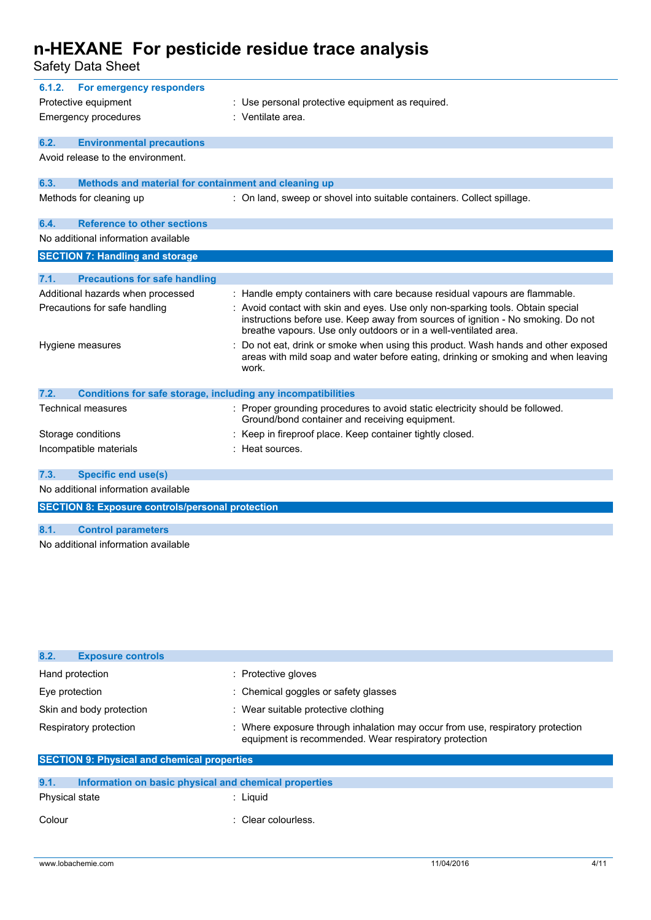| <b>For emergency responders</b><br>6.1.2.                            |                                                                                                                                                                                                                                       |  |
|----------------------------------------------------------------------|---------------------------------------------------------------------------------------------------------------------------------------------------------------------------------------------------------------------------------------|--|
| Protective equipment                                                 | : Use personal protective equipment as required.                                                                                                                                                                                      |  |
| <b>Emergency procedures</b>                                          | : Ventilate area.                                                                                                                                                                                                                     |  |
| 6.2.<br><b>Environmental precautions</b>                             |                                                                                                                                                                                                                                       |  |
| Avoid release to the environment.                                    |                                                                                                                                                                                                                                       |  |
| 6.3.<br>Methods and material for containment and cleaning up         |                                                                                                                                                                                                                                       |  |
| Methods for cleaning up                                              | : On land, sweep or shovel into suitable containers. Collect spillage.                                                                                                                                                                |  |
| <b>Reference to other sections</b><br>6.4.                           |                                                                                                                                                                                                                                       |  |
| No additional information available                                  |                                                                                                                                                                                                                                       |  |
| <b>SECTION 7: Handling and storage</b>                               |                                                                                                                                                                                                                                       |  |
| 7.1.<br><b>Precautions for safe handling</b>                         |                                                                                                                                                                                                                                       |  |
| Additional hazards when processed                                    | : Handle empty containers with care because residual vapours are flammable.                                                                                                                                                           |  |
| Precautions for safe handling                                        | Avoid contact with skin and eyes. Use only non-sparking tools. Obtain special<br>instructions before use. Keep away from sources of ignition - No smoking. Do not<br>breathe vapours. Use only outdoors or in a well-ventilated area. |  |
| Hygiene measures                                                     | Do not eat, drink or smoke when using this product. Wash hands and other exposed<br>areas with mild soap and water before eating, drinking or smoking and when leaving<br>work.                                                       |  |
| 7.2.<br>Conditions for safe storage, including any incompatibilities |                                                                                                                                                                                                                                       |  |
| <b>Technical measures</b>                                            | : Proper grounding procedures to avoid static electricity should be followed.<br>Ground/bond container and receiving equipment.                                                                                                       |  |
| Storage conditions                                                   | Keep in fireproof place. Keep container tightly closed.                                                                                                                                                                               |  |
| Incompatible materials                                               | : Heat sources.                                                                                                                                                                                                                       |  |
| <b>Specific end use(s)</b><br>7.3.                                   |                                                                                                                                                                                                                                       |  |
| No additional information available                                  |                                                                                                                                                                                                                                       |  |
| <b>SECTION 8: Exposure controls/personal protection</b>              |                                                                                                                                                                                                                                       |  |
| 8.1.<br><b>Control parameters</b>                                    |                                                                                                                                                                                                                                       |  |
| No additional information available                                  |                                                                                                                                                                                                                                       |  |

| 8.2.<br><b>Exposure controls</b>                                                                          |                                                                                                                                       |  |
|-----------------------------------------------------------------------------------------------------------|---------------------------------------------------------------------------------------------------------------------------------------|--|
| Hand protection                                                                                           | : Protective gloves                                                                                                                   |  |
| Eye protection                                                                                            | : Chemical goggles or safety glasses                                                                                                  |  |
| Skin and body protection                                                                                  | : Wear suitable protective clothing                                                                                                   |  |
| Respiratory protection                                                                                    | Where exposure through inhalation may occur from use, respiratory protection<br>equipment is recommended. Wear respiratory protection |  |
| <b>SECTION 9: Physical and chemical properties</b>                                                        |                                                                                                                                       |  |
| $\sim$ $\sim$<br>the figures with a compact that will be contained to be a figure that the compact with a |                                                                                                                                       |  |

| 9.1.<br>Information on basic physical and chemical properties |                     |
|---------------------------------------------------------------|---------------------|
| Physical state                                                | : Liauid            |
| Colour                                                        | : Clear colourless. |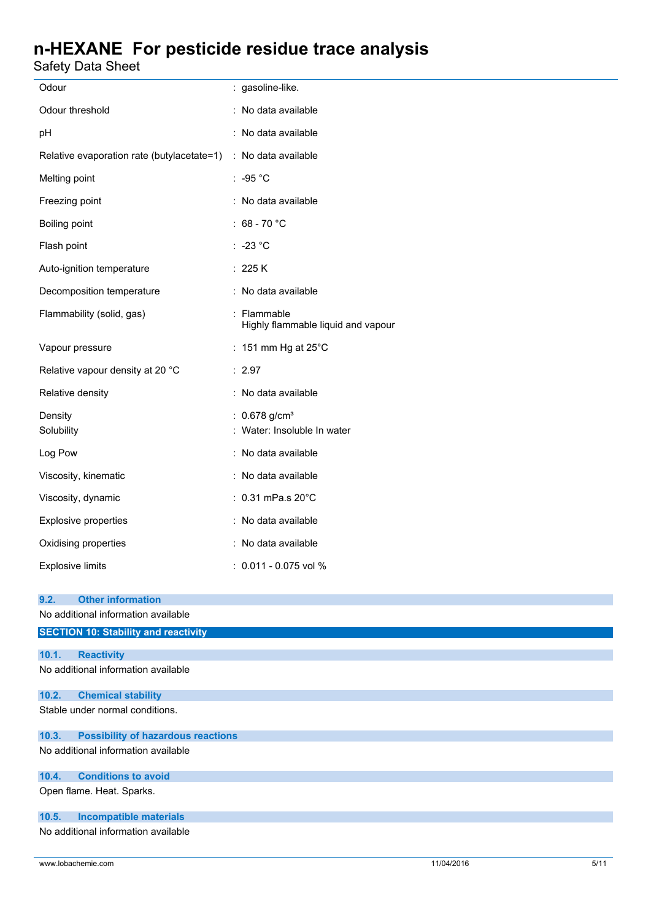Safety Data Sheet

| ,,,,,                                                          |                                                            |  |
|----------------------------------------------------------------|------------------------------------------------------------|--|
| Odour                                                          | : gasoline-like.                                           |  |
| Odour threshold                                                | : No data available                                        |  |
| рH                                                             | : No data available                                        |  |
| Relative evaporation rate (butylacetate=1) : No data available |                                                            |  |
| Melting point                                                  | : $-95 °C$                                                 |  |
| Freezing point                                                 | : No data available                                        |  |
| Boiling point                                                  | : $68 - 70 °C$                                             |  |
| Flash point                                                    | $\therefore$ -23 °C                                        |  |
| Auto-ignition temperature                                      | : 225 K                                                    |  |
| Decomposition temperature                                      | : No data available                                        |  |
| Flammability (solid, gas)                                      | : Flammable<br>Highly flammable liquid and vapour          |  |
| Vapour pressure                                                | : 151 mm Hg at $25^{\circ}$ C                              |  |
| Relative vapour density at 20 °C                               | : 2.97                                                     |  |
| Relative density                                               | : No data available                                        |  |
| Density<br>Solubility                                          | : $0.678$ g/cm <sup>3</sup><br>: Water: Insoluble In water |  |
| Log Pow                                                        | : No data available                                        |  |
| Viscosity, kinematic                                           | : No data available                                        |  |
| Viscosity, dynamic                                             | : 0.31 mPa.s 20°C                                          |  |
| <b>Explosive properties</b>                                    | : No data available                                        |  |
| Oxidising properties                                           | : No data available                                        |  |
| <b>Explosive limits</b>                                        | : 0.011 - 0.075 vol %                                      |  |
| <b>Other information</b><br>9.2.                               |                                                            |  |
| No additional information available                            |                                                            |  |
| <b>SECTION 10: Stability and reactivity</b>                    |                                                            |  |
| 10.1.<br><b>Reactivity</b>                                     |                                                            |  |
| No additional information available                            |                                                            |  |

#### **10.2. Chemical stability**

Stable under normal conditions.

#### **10.3. Possibility of hazardous reactions**

No additional information available

#### **10.4. Conditions to avoid**

Open flame. Heat. Sparks.

#### **10.5. Incompatible materials**

No additional information available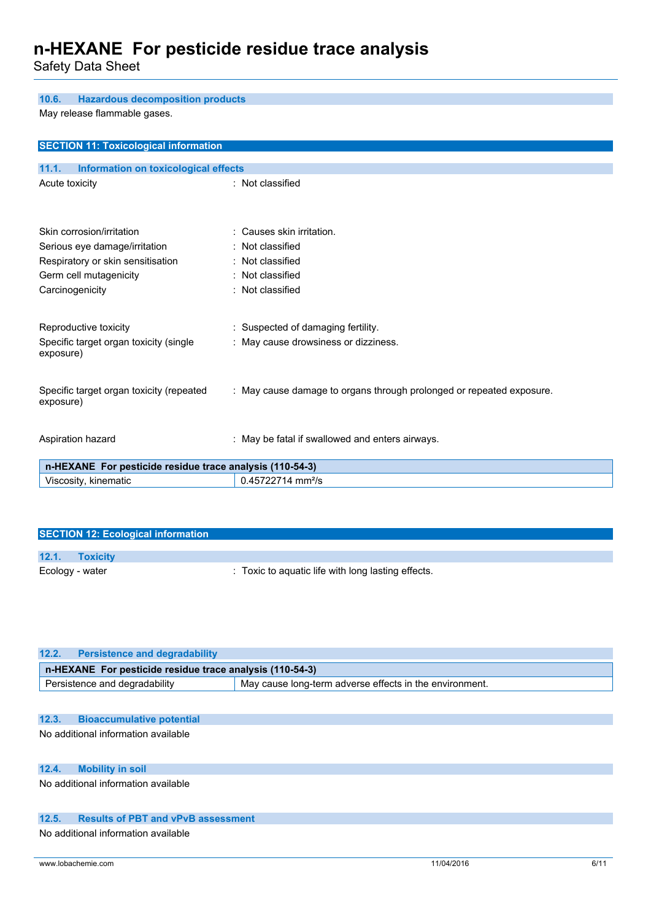Safety Data Sheet

#### **10.6. Hazardous decomposition products**

May release flammable gases.

| <b>Information on toxicological effects</b>                          |  |
|----------------------------------------------------------------------|--|
| : Not classified                                                     |  |
|                                                                      |  |
|                                                                      |  |
| : Causes skin irritation.                                            |  |
| : Not classified                                                     |  |
| : Not classified                                                     |  |
| : Not classified                                                     |  |
| : Not classified                                                     |  |
|                                                                      |  |
| : Suspected of damaging fertility.                                   |  |
| : May cause drowsiness or dizziness.                                 |  |
|                                                                      |  |
|                                                                      |  |
| : May cause damage to organs through prolonged or repeated exposure. |  |
|                                                                      |  |
|                                                                      |  |
| Aspiration hazard<br>: May be fatal if swallowed and enters airways. |  |
|                                                                      |  |
| n-HEXANE For pesticide residue trace analysis (110-54-3)             |  |
| 0.45722714 mm <sup>2</sup> /s                                        |  |
|                                                                      |  |

| <b>SECTION 12: Ecological information</b> |                 |                                                    |
|-------------------------------------------|-----------------|----------------------------------------------------|
|                                           |                 |                                                    |
| 12.1.                                     | <b>Toxicity</b> |                                                    |
| Ecology - water                           |                 | : Toxic to aquatic life with long lasting effects. |

| 12.2.                                                    | Persistence and degradability |                                                         |
|----------------------------------------------------------|-------------------------------|---------------------------------------------------------|
| n-HEXANE For pesticide residue trace analysis (110-54-3) |                               |                                                         |
|                                                          | Persistence and degradability | May cause long-term adverse effects in the environment. |
|                                                          |                               |                                                         |

### **12.3. Bioaccumulative potential**

No additional information available

### **12.4. Mobility in soil**

No additional information available

#### **12.5. Results of PBT and vPvB assessment**

No additional information available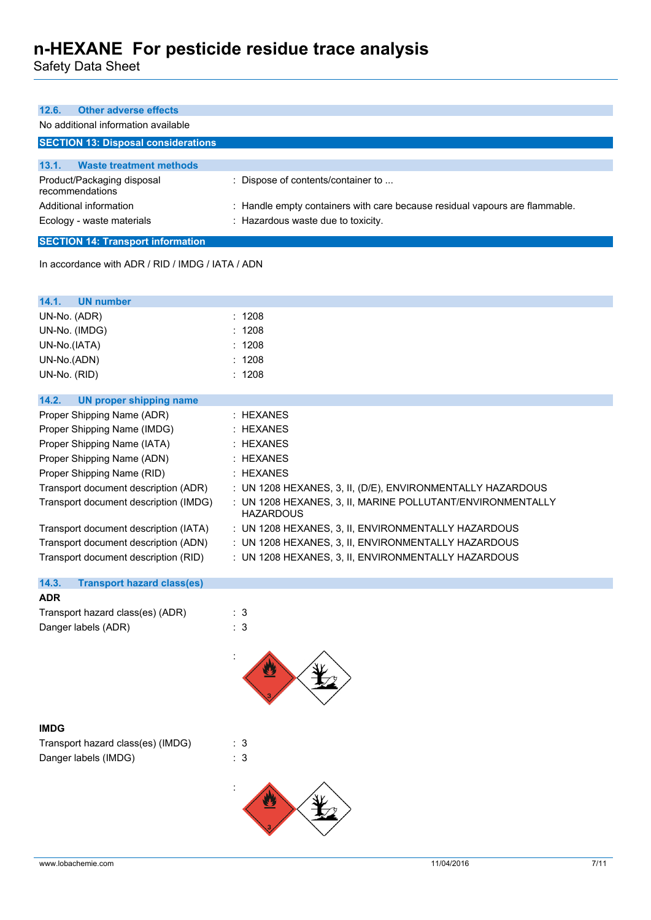Safety Data Sheet

| Other adverse effects<br>12.6.                   |                                                                             |  |
|--------------------------------------------------|-----------------------------------------------------------------------------|--|
| No additional information available              |                                                                             |  |
| <b>SECTION 13: Disposal considerations</b>       |                                                                             |  |
|                                                  |                                                                             |  |
| <b>Waste treatment methods</b><br>13.1.          |                                                                             |  |
| Product/Packaging disposal<br>recommendations    | : Dispose of contents/container to                                          |  |
| Additional information                           | : Handle empty containers with care because residual vapours are flammable. |  |
| Ecology - waste materials                        | : Hazardous waste due to toxicity.                                          |  |
| <b>SECTION 14: Transport information</b>         |                                                                             |  |
| In accordance with ADR / RID / IMDG / IATA / ADN |                                                                             |  |

| <b>UN number</b><br>14.1.             |                                                                                |
|---------------------------------------|--------------------------------------------------------------------------------|
| UN-No. (ADR)                          | : 1208                                                                         |
| UN-No. (IMDG)                         | : 1208                                                                         |
| UN-No.(IATA)                          | : 1208                                                                         |
| UN-No.(ADN)                           | : 1208                                                                         |
| UN-No. (RID)                          | : 1208                                                                         |
|                                       |                                                                                |
| 14.2.<br>UN proper shipping name      |                                                                                |
| Proper Shipping Name (ADR)            | : HEXANES                                                                      |
| Proper Shipping Name (IMDG)           | : HEXANES                                                                      |
| Proper Shipping Name (IATA)           | : HEXANES                                                                      |
| Proper Shipping Name (ADN)            | : HEXANES                                                                      |
| Proper Shipping Name (RID)            | : HEXANES                                                                      |
| Transport document description (ADR)  | : UN 1208 HEXANES, 3, II, (D/E), ENVIRONMENTALLY HAZARDOUS                     |
| Transport document description (IMDG) | : UN 1208 HEXANES, 3, II, MARINE POLLUTANT/ENVIRONMENTALLY<br><b>HAZARDOUS</b> |
| Transport document description (IATA) | : UN 1208 HEXANES, 3, II, ENVIRONMENTALLY HAZARDOUS                            |
| Transport document description (ADN)  | : UN 1208 HEXANES, 3, II, ENVIRONMENTALLY HAZARDOUS                            |
| Transport document description (RID)  | : UN 1208 HEXANES, 3, II, ENVIRONMENTALLY HAZARDOUS                            |
|                                       |                                                                                |

### **14.3. Transport hazard class(es)**

| <b>ADR</b>                       |     |
|----------------------------------|-----|
| Transport hazard class(es) (ADR) | : 3 |
| Danger labels (ADR)              | : 3 |



### **IMDG**

| Transport hazard class(es) (IMDG) |     | : 3 |
|-----------------------------------|-----|-----|
| Danger labels (IMDG)              | : 3 |     |

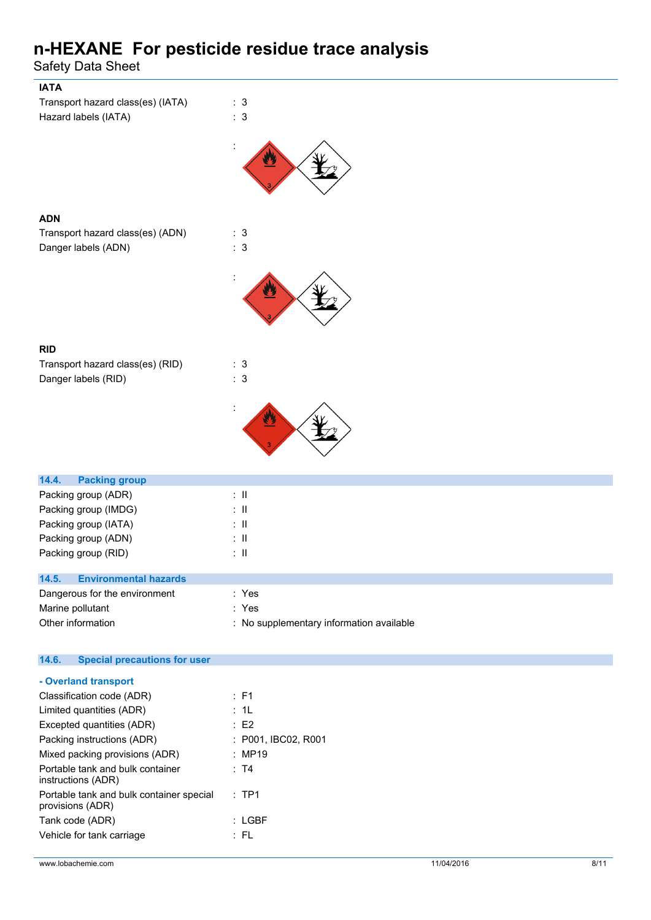| <b>IATA</b>                                            |                                          |
|--------------------------------------------------------|------------------------------------------|
| Transport hazard class(es) (IATA)                      | : 3                                      |
| Hazard labels (IATA)                                   | : 3                                      |
|                                                        |                                          |
|                                                        |                                          |
|                                                        |                                          |
|                                                        |                                          |
|                                                        |                                          |
| <b>ADN</b>                                             |                                          |
| Transport hazard class(es) (ADN)                       | : 3                                      |
| Danger labels (ADN)                                    | : 3                                      |
|                                                        |                                          |
|                                                        |                                          |
|                                                        |                                          |
|                                                        |                                          |
|                                                        |                                          |
|                                                        |                                          |
| <b>RID</b>                                             |                                          |
| Transport hazard class(es) (RID)                       | : 3                                      |
| Danger labels (RID)                                    | : 3                                      |
|                                                        |                                          |
|                                                        |                                          |
|                                                        |                                          |
|                                                        |                                          |
|                                                        |                                          |
| 14.4.<br><b>Packing group</b>                          |                                          |
| Packing group (ADR)                                    | $\colon \, \mathbb{H}$                   |
| Packing group (IMDG)                                   | $\therefore$ $\parallel$                 |
| Packing group (IATA)                                   | $: \mathbb{I}$                           |
| Packing group (ADN)                                    | $: \mathbb{I}$                           |
| Packing group (RID)                                    | $\colon \mathbb{I}$                      |
| <b>Environmental hazards</b><br>14.5.                  |                                          |
| Dangerous for the environment                          | : Yes                                    |
| Marine pollutant                                       | : Yes                                    |
| Other information                                      | : No supplementary information available |
|                                                        |                                          |
|                                                        |                                          |
| 14.6.<br><b>Special precautions for user</b>           |                                          |
| - Overland transport                                   |                                          |
| Classification code (ADR)                              | : F1                                     |
| Limited quantities (ADR)                               | : 1L                                     |
| Excepted quantities (ADR)                              | $\therefore$ E2                          |
| Packing instructions (ADR)                             | : P001, IBC02, R001                      |
| Mixed packing provisions (ADR)                         | : MP19                                   |
| Portable tank and bulk container<br>instructions (ADR) | : T4                                     |
| Portable tank and bulk container special               | :TP1                                     |
| provisions (ADR)                                       |                                          |
| Tank code (ADR)                                        | : LGBF                                   |
| Vehicle for tank carriage                              | $:$ FL                                   |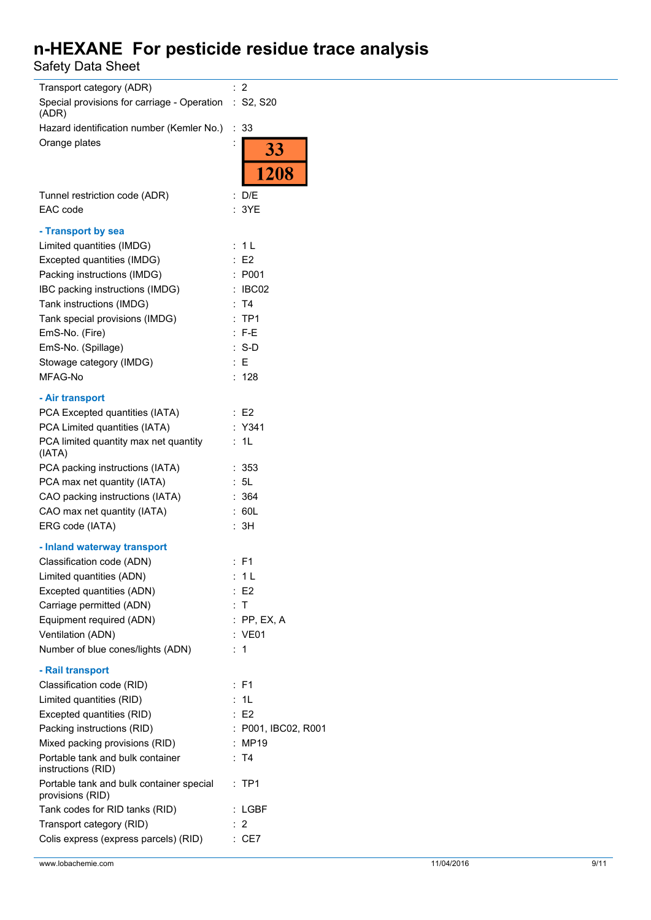| Transport category (ADR)<br>Special provisions for carriage - Operation : S2, S20<br>(ADR)                                                                                                                                                                                                   | $\overline{2}$                                                                                             |
|----------------------------------------------------------------------------------------------------------------------------------------------------------------------------------------------------------------------------------------------------------------------------------------------|------------------------------------------------------------------------------------------------------------|
| Hazard identification number (Kemler No.)<br>Orange plates                                                                                                                                                                                                                                   | : 33<br>33 <sup>°</sup><br>1208                                                                            |
| Tunnel restriction code (ADR)<br>EAC code                                                                                                                                                                                                                                                    | : D/E<br>: 3YE                                                                                             |
| - Transport by sea<br>Limited quantities (IMDG)<br>Excepted quantities (IMDG)<br>Packing instructions (IMDG)<br>IBC packing instructions (IMDG)<br>Tank instructions (IMDG)<br>Tank special provisions (IMDG)<br>EmS-No. (Fire)<br>EmS-No. (Spillage)<br>Stowage category (IMDG)<br>MFAG-No  | 1 L<br>:<br>E2<br>P001<br>: IBC02<br>T4<br>TP1<br>$\ddot{\phantom{a}}$<br>$: F-E$<br>$: S-D$<br>: Е<br>128 |
| - Air transport<br>PCA Excepted quantities (IATA)<br>PCA Limited quantities (IATA)<br>PCA limited quantity max net quantity<br>(IATA)<br>PCA packing instructions (IATA)<br>PCA max net quantity (IATA)<br>CAO packing instructions (IATA)<br>CAO max net quantity (IATA)<br>ERG code (IATA) | : E2<br>: Y341<br>1L<br>:353<br>: 5L<br>: 364<br>: 60L<br>: 3H                                             |
| - Inland waterway transport<br>Classification code (ADN)<br>Limited quantities (ADN)<br>Excepted quantities (ADN)<br>Carriage permitted (ADN)<br>Equipment required (ADN)<br>Ventilation (ADN)<br>Number of blue cones/lights (ADN)                                                          | : F1<br>: 1 L<br>E2<br>: T<br>$:$ PP, EX, A<br>: VE01<br>1<br>t.                                           |
| - Rail transport<br>Classification code (RID)<br>Limited quantities (RID)<br>Excepted quantities (RID)<br>Packing instructions (RID)<br>Mixed packing provisions (RID)<br>Portable tank and bulk container<br>instructions (RID)<br>Portable tank and bulk container special                 | : F1<br>1L<br>÷.<br>E2<br>: P001, IBC02, R001<br>: MP19<br>: T4<br>: TP1                                   |
| provisions (RID)<br>Tank codes for RID tanks (RID)<br>Transport category (RID)<br>Colis express (express parcels) (RID)                                                                                                                                                                      | LGBF<br>2<br>: CE7                                                                                         |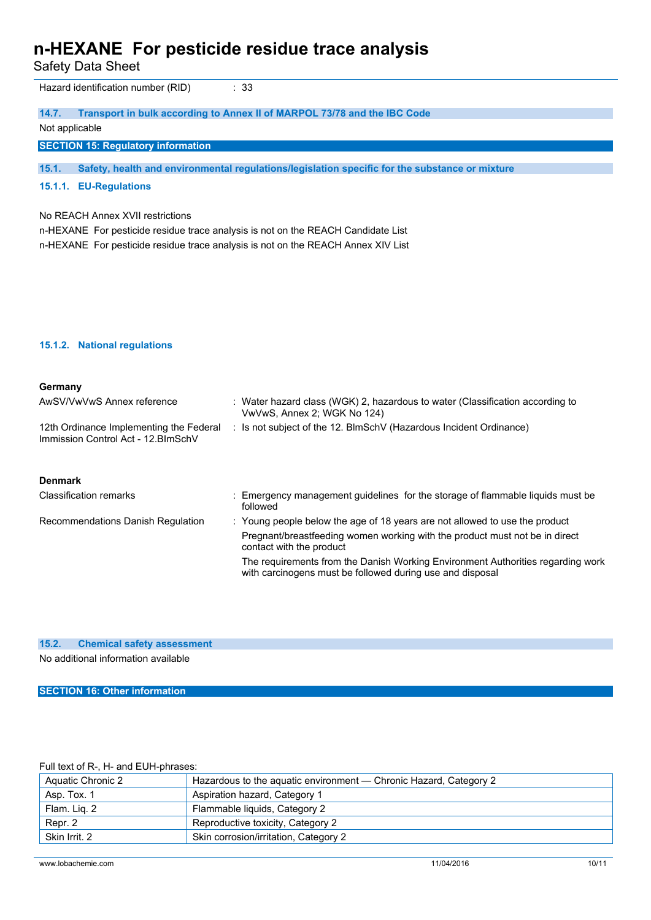Safety Data Sheet

Hazard identification number (RID) : 33

| 14.7.          | Transport in bulk according to Annex II of MARPOL 73/78 and the IBC Code |
|----------------|--------------------------------------------------------------------------|
| Not applicable |                                                                          |
|                | <b>SECTION 15: Regulatory information</b>                                |

**15.1. Safety, health and environmental regulations/legislation specific for the substance or mixture**

#### **15.1.1. EU-Regulations**

No REACH Annex XVII restrictions

n-HEXANE For pesticide residue trace analysis is not on the REACH Candidate List n-HEXANE For pesticide residue trace analysis is not on the REACH Annex XIV List

#### **15.1.2. National regulations**

| Germany                                                                        |                                                                                                              |
|--------------------------------------------------------------------------------|--------------------------------------------------------------------------------------------------------------|
| AwSV/VwVwS Annex reference                                                     | : Water hazard class (WGK) 2, hazardous to water (Classification according to<br>VwVwS, Annex 2; WGK No 124) |
| 12th Ordinance Implementing the Federal<br>Immission Control Act - 12. BlmSchV | : Is not subject of the 12. BlmSchV (Hazardous Incident Ordinance)                                           |
| <b>Denmark</b>                                                                 |                                                                                                              |
| <b>Classification remarks</b>                                                  | : Emergency management quidelines for the storage of flammable liquids must be<br>followed                   |
| Recommendations Danish Regulation                                              | : Young people below the age of 18 years are not allowed to use the product                                  |
|                                                                                | Pregnant/breastfeeding women working with the product must not be in direct<br>contact with the product      |
|                                                                                | The requirements from the Danish Working Environment Authorities regarding work                              |

with carcinogens must be followed during use and disposal

**15.2. Chemical safety assessment**

No additional information available

**SECTION 16: Other information**

#### Full text of R-, H- and EUH-phrases:

| Aquatic Chronic 2 | Hazardous to the aguatic environment — Chronic Hazard, Category 2 |
|-------------------|-------------------------------------------------------------------|
| Asp. Tox. 1       | Aspiration hazard, Category 1                                     |
| Flam. Liq. 2      | Flammable liquids, Category 2                                     |
| Repr. 2           | Reproductive toxicity, Category 2                                 |
| Skin Irrit, 2     | Skin corrosion/irritation, Category 2                             |